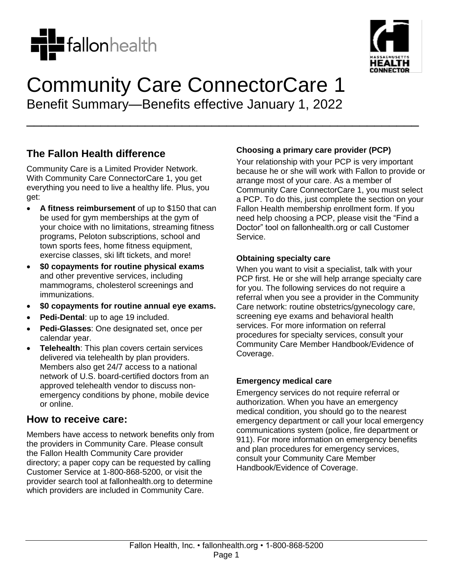



# Community Care ConnectorCare 1 Benefit Summary—Benefits effective January 1, 2022

\_\_\_\_\_\_\_\_\_\_\_\_\_\_\_\_\_\_\_\_\_\_\_\_\_\_\_\_\_\_\_\_\_\_\_\_\_\_\_\_\_\_\_\_\_\_\_\_\_\_\_\_\_

**The Fallon Health difference**

Community Care is a Limited Provider Network. With Community Care ConnectorCare 1, you get everything you need to live a healthy life. Plus, you get:

- **A fitness reimbursement** of up to \$150 that can be used for gym memberships at the gym of your choice with no limitations, streaming fitness programs, Peloton subscriptions, school and town sports fees, home fitness equipment, exercise classes, ski lift tickets, and more!
- **\$0 copayments for routine physical exams** and other preventive services, including mammograms, cholesterol screenings and immunizations.
- **\$0 copayments for routine annual eye exams.**
- **Pedi-Dental**: up to age 19 included.
- **Pedi-Glasses**: One designated set, once per calendar year.
- **Telehealth**: This plan covers certain services delivered via telehealth by plan providers. Members also get 24/7 access to a national network of U.S. board-certified doctors from an approved telehealth vendor to discuss nonemergency conditions by phone, mobile device or online.

## **How to receive care:**

Members have access to network benefits only from the providers in Community Care. Please consult the Fallon Health Community Care provider directory; a paper copy can be requested by calling Customer Service at 1-800-868-5200, or visit the provider search tool at fallonhealth.org to determine which providers are included in Community Care.

#### **Choosing a primary care provider (PCP)**

Your relationship with your PCP is very important because he or she will work with Fallon to provide or arrange most of your care. As a member of Community Care ConnectorCare 1, you must select a PCP. To do this, just complete the section on your Fallon Health membership enrollment form. If you need help choosing a PCP, please visit the "Find a Doctor" tool on fallonhealth.org or call Customer Service.

#### **Obtaining specialty care**

When you want to visit a specialist, talk with your PCP first. He or she will help arrange specialty care for you. The following services do not require a referral when you see a provider in the Community Care network: routine obstetrics/gynecology care, screening eye exams and behavioral health services. For more information on referral procedures for specialty services, consult your Community Care Member Handbook/Evidence of Coverage.

#### **Emergency medical care**

Emergency services do not require referral or authorization. When you have an emergency medical condition, you should go to the nearest emergency department or call your local emergency communications system (police, fire department or 911). For more information on emergency benefits and plan procedures for emergency services, consult your Community Care Member Handbook/Evidence of Coverage.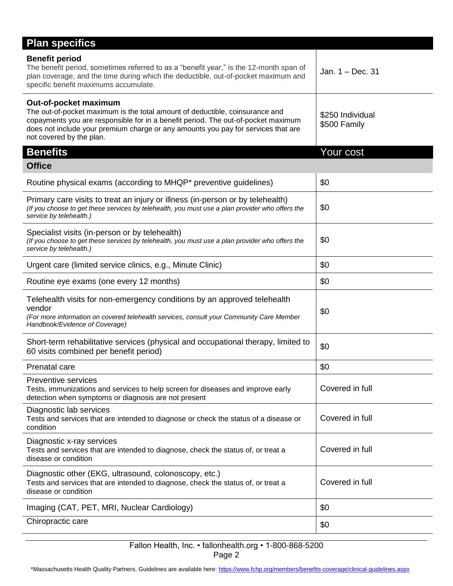| <b>Plan specifics</b>                                                                                                                                                                                                                                                                                       |                                  |
|-------------------------------------------------------------------------------------------------------------------------------------------------------------------------------------------------------------------------------------------------------------------------------------------------------------|----------------------------------|
| <b>Benefit period</b><br>The benefit period, sometimes referred to as a "benefit year," is the 12-month span of<br>plan coverage, and the time during which the deductible, out-of-pocket maximum and<br>specific benefit maximums accumulate.                                                              | Jan. $1 - Dec. 31$               |
| Out-of-pocket maximum<br>The out-of-pocket maximum is the total amount of deductible, coinsurance and<br>copayments you are responsible for in a benefit period. The out-of-pocket maximum<br>does not include your premium charge or any amounts you pay for services that are<br>not covered by the plan. | \$250 Individual<br>\$500 Family |
| <b>Benefits</b>                                                                                                                                                                                                                                                                                             | Your cost                        |
| <b>Office</b>                                                                                                                                                                                                                                                                                               |                                  |
| Routine physical exams (according to MHQP* preventive guidelines)                                                                                                                                                                                                                                           | \$0                              |
| Primary care visits to treat an injury or illness (in-person or by telehealth)<br>(If you choose to get these services by telehealth, you must use a plan provider who offers the<br>service by telehealth.)                                                                                                | \$0                              |
| Specialist visits (in-person or by telehealth)<br>(If you choose to get these services by telehealth, you must use a plan provider who offers the<br>service by telehealth.)                                                                                                                                | \$0                              |
| Urgent care (limited service clinics, e.g., Minute Clinic)                                                                                                                                                                                                                                                  | \$0                              |
| Routine eye exams (one every 12 months)                                                                                                                                                                                                                                                                     | \$0                              |
| Telehealth visits for non-emergency conditions by an approved telehealth<br>vendor<br>(For more information on covered telehealth services, consult your Community Care Member<br>Handbook/Evidence of Coverage)                                                                                            | \$0                              |
| Short-term rehabilitative services (physical and occupational therapy, limited to<br>60 visits combined per benefit period)                                                                                                                                                                                 | \$0                              |
| Prenatal care                                                                                                                                                                                                                                                                                               | \$0                              |
| <b>Preventive services</b><br>Tests, immunizations and services to help screen for diseases and improve early<br>detection when symptoms or diagnosis are not present                                                                                                                                       | Covered in full                  |
| Diagnostic lab services<br>Tests and services that are intended to diagnose or check the status of a disease or<br>condition                                                                                                                                                                                | Covered in full                  |
| Diagnostic x-ray services<br>Tests and services that are intended to diagnose, check the status of, or treat a<br>disease or condition                                                                                                                                                                      | Covered in full                  |
| Diagnostic other (EKG, ultrasound, colonoscopy, etc.)<br>Tests and services that are intended to diagnose, check the status of, or treat a<br>disease or condition                                                                                                                                          | Covered in full                  |
| Imaging (CAT, PET, MRI, Nuclear Cardiology)                                                                                                                                                                                                                                                                 | \$0                              |
| Chiropractic care                                                                                                                                                                                                                                                                                           | \$0                              |

#### Fallon Health, Inc. • fallonhealth.org • 1-800-868-5200 Page 2

\*Massachusetts Health Quality Partners. Guidelines are available here[: https://www.fchp.org/members/benefits-coverage/clinical-guidelines.aspx](https://www.fchp.org/members/benefits-coverage/clinical-guidelines.aspx)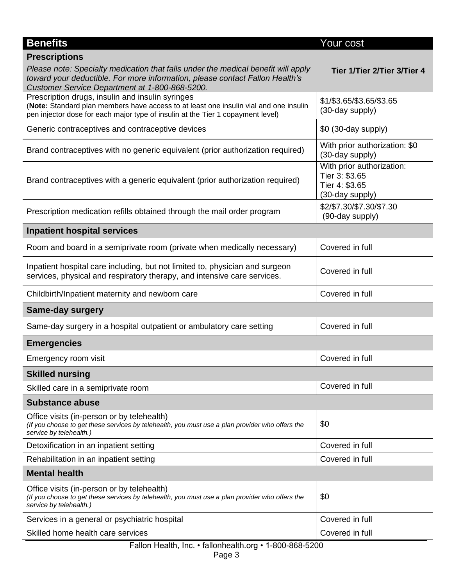| <b>Benefits</b>                                                                                                                                                                                                              | Your cost                                                                        |  |
|------------------------------------------------------------------------------------------------------------------------------------------------------------------------------------------------------------------------------|----------------------------------------------------------------------------------|--|
| <b>Prescriptions</b>                                                                                                                                                                                                         |                                                                                  |  |
| Please note: Specialty medication that falls under the medical benefit will apply<br>toward your deductible. For more information, please contact Fallon Health's<br>Customer Service Department at 1-800-868-5200.          | Tier 1/Tier 2/Tier 3/Tier 4                                                      |  |
| Prescription drugs, insulin and insulin syringes<br>(Note: Standard plan members have access to at least one insulin vial and one insulin<br>pen injector dose for each major type of insulin at the Tier 1 copayment level) | \$1/\$3.65/\$3.65/\$3.65<br>(30-day supply)                                      |  |
| Generic contraceptives and contraceptive devices                                                                                                                                                                             | $$0$ (30-day supply)                                                             |  |
| Brand contraceptives with no generic equivalent (prior authorization required)                                                                                                                                               | With prior authorization: \$0<br>(30-day supply)                                 |  |
| Brand contraceptives with a generic equivalent (prior authorization required)                                                                                                                                                | With prior authorization:<br>Tier 3: \$3.65<br>Tier 4: \$3.65<br>(30-day supply) |  |
| Prescription medication refills obtained through the mail order program                                                                                                                                                      | \$2/\$7.30/\$7.30/\$7.30<br>(90-day supply)                                      |  |
| <b>Inpatient hospital services</b>                                                                                                                                                                                           |                                                                                  |  |
| Room and board in a semiprivate room (private when medically necessary)                                                                                                                                                      | Covered in full                                                                  |  |
| Inpatient hospital care including, but not limited to, physician and surgeon<br>services, physical and respiratory therapy, and intensive care services.                                                                     | Covered in full                                                                  |  |
| Childbirth/Inpatient maternity and newborn care                                                                                                                                                                              | Covered in full                                                                  |  |
| <b>Same-day surgery</b>                                                                                                                                                                                                      |                                                                                  |  |
| Same-day surgery in a hospital outpatient or ambulatory care setting                                                                                                                                                         | Covered in full                                                                  |  |
| <b>Emergencies</b>                                                                                                                                                                                                           |                                                                                  |  |
| Emergency room visit                                                                                                                                                                                                         | Covered in full                                                                  |  |
| <b>Skilled nursing</b>                                                                                                                                                                                                       |                                                                                  |  |
| Skilled care in a semiprivate room                                                                                                                                                                                           | Covered in full                                                                  |  |
| <b>Substance abuse</b>                                                                                                                                                                                                       |                                                                                  |  |
| Office visits (in-person or by telehealth)<br>(If you choose to get these services by telehealth, you must use a plan provider who offers the<br>service by telehealth.)                                                     | \$0                                                                              |  |
| Detoxification in an inpatient setting                                                                                                                                                                                       | Covered in full                                                                  |  |
| Rehabilitation in an inpatient setting                                                                                                                                                                                       | Covered in full                                                                  |  |
| <b>Mental health</b>                                                                                                                                                                                                         |                                                                                  |  |
| Office visits (in-person or by telehealth)<br>(If you choose to get these services by telehealth, you must use a plan provider who offers the<br>service by telehealth.)                                                     | \$0                                                                              |  |
| Services in a general or psychiatric hospital                                                                                                                                                                                | Covered in full                                                                  |  |
| Skilled home health care services                                                                                                                                                                                            | Covered in full                                                                  |  |
| Fallon Health, Inc. • fallonhealth.org • 1-800-868-5200<br>Page 3                                                                                                                                                            |                                                                                  |  |